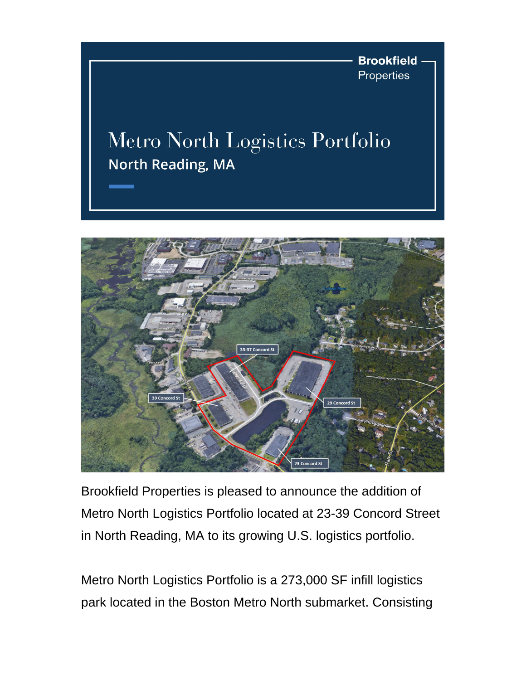**Brookfield** Properties

## Metro North Logistics Portfolio **North Reading, MA**



Brookfield Properties is pleased to announce the addition of Metro North Logistics Portfolio located at 23-39 Concord Street in North Reading, MA to its growing U.S. logistics portfolio.

Metro North Logistics Portfolio is a 273,000 SF infill logistics park located in the Boston Metro North submarket. Consisting